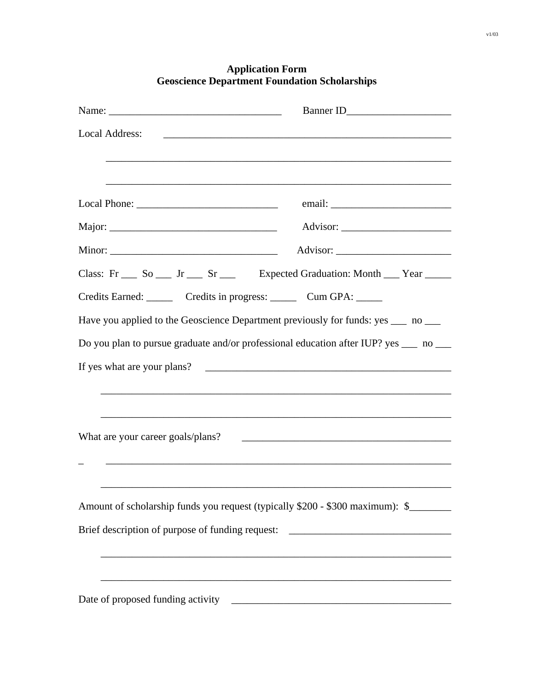| Local Address:                                                        |                                                                                      |
|-----------------------------------------------------------------------|--------------------------------------------------------------------------------------|
|                                                                       |                                                                                      |
|                                                                       |                                                                                      |
|                                                                       |                                                                                      |
|                                                                       |                                                                                      |
|                                                                       | Class: Fr So L Jr Sr Sr Expected Graduation: Month Pear                              |
| Credits Earned: ________ Credits in progress: _______ Cum GPA: ______ |                                                                                      |
|                                                                       | Have you applied to the Geoscience Department previously for funds: yes ____ no ___  |
|                                                                       | Do you plan to pursue graduate and/or professional education after IUP? yes __ no __ |
|                                                                       |                                                                                      |
|                                                                       |                                                                                      |
|                                                                       |                                                                                      |
| What are your career goals/plans?                                     |                                                                                      |
|                                                                       |                                                                                      |
|                                                                       |                                                                                      |
|                                                                       | Amount of scholarship funds you request (typically \$200 - \$300 maximum): \$        |
|                                                                       | Brief description of purpose of funding request: _______________________________     |
|                                                                       |                                                                                      |
|                                                                       |                                                                                      |
|                                                                       |                                                                                      |

## **Application Form Geoscience Department Foundation Scholarships**